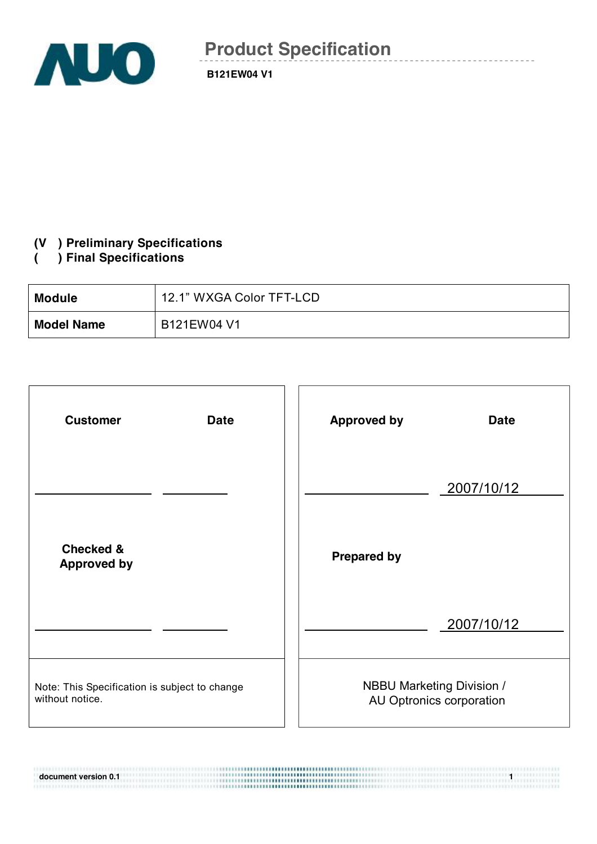

## **(V ) Preliminary Specifications**

## **( ) Final Specifications**

| <b>Module</b>     | 12.1" WXGA Color TFT-LCD |
|-------------------|--------------------------|
| <b>Model Name</b> | B121EW04 V1              |

| <b>Customer</b><br><b>Date</b>                                   | <b>Approved by</b><br><b>Date</b>                            |
|------------------------------------------------------------------|--------------------------------------------------------------|
|                                                                  | 2007/10/12                                                   |
| <b>Checked &amp;</b><br><b>Approved by</b>                       | <b>Prepared by</b>                                           |
|                                                                  | 2007/10/12                                                   |
| Note: This Specification is subject to change<br>without notice. | <b>NBBU Marketing Division /</b><br>AU Optronics corporation |

**document version 0.1 1**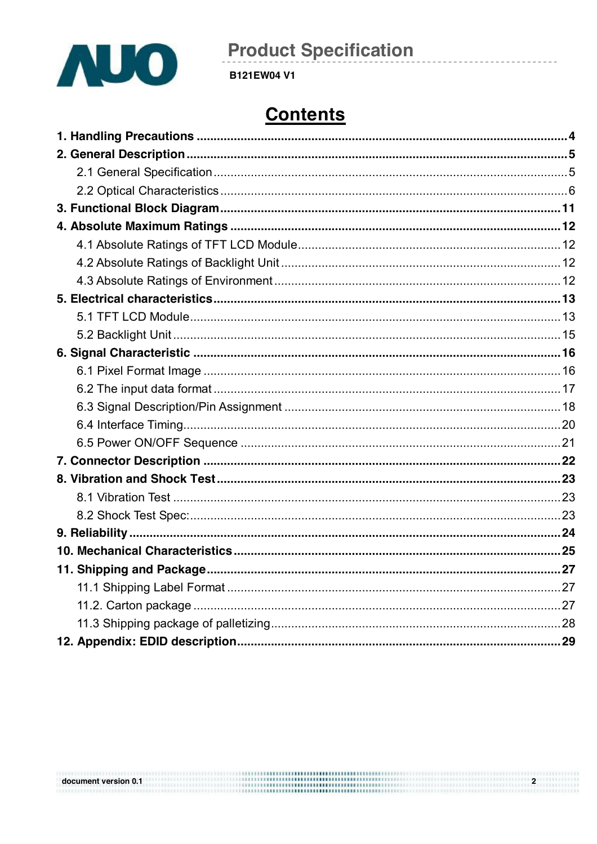

**B121EW04 V1** 

# **Contents**

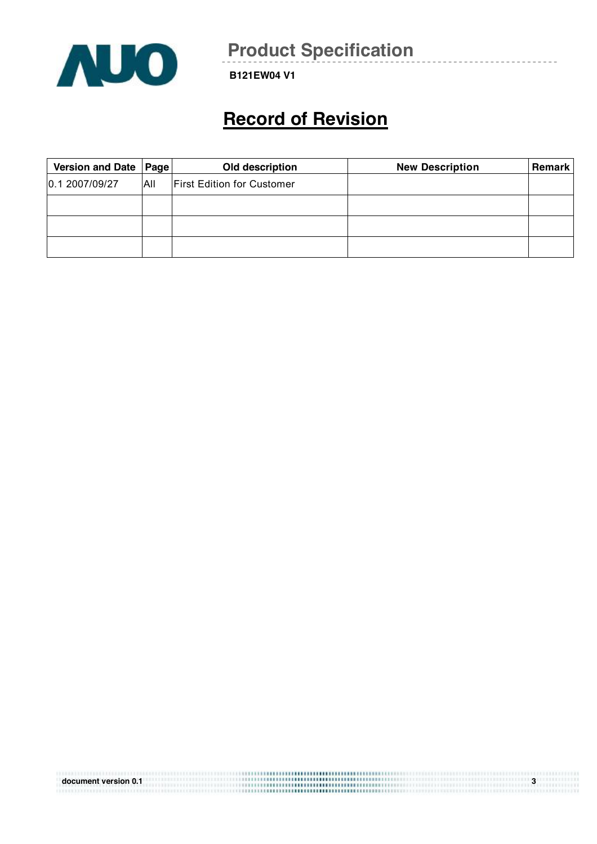

**B121EW04 V1** 

# **Record of Revision**

| Version and Date   Page |     | Old description                   | <b>New Description</b> | <b>Remark</b> |
|-------------------------|-----|-----------------------------------|------------------------|---------------|
| 0.1 2007/09/27          | All | <b>First Edition for Customer</b> |                        |               |
|                         |     |                                   |                        |               |
|                         |     |                                   |                        |               |
|                         |     |                                   |                        |               |

| document version 0.1 | <br>∘ |
|----------------------|-------|
|                      |       |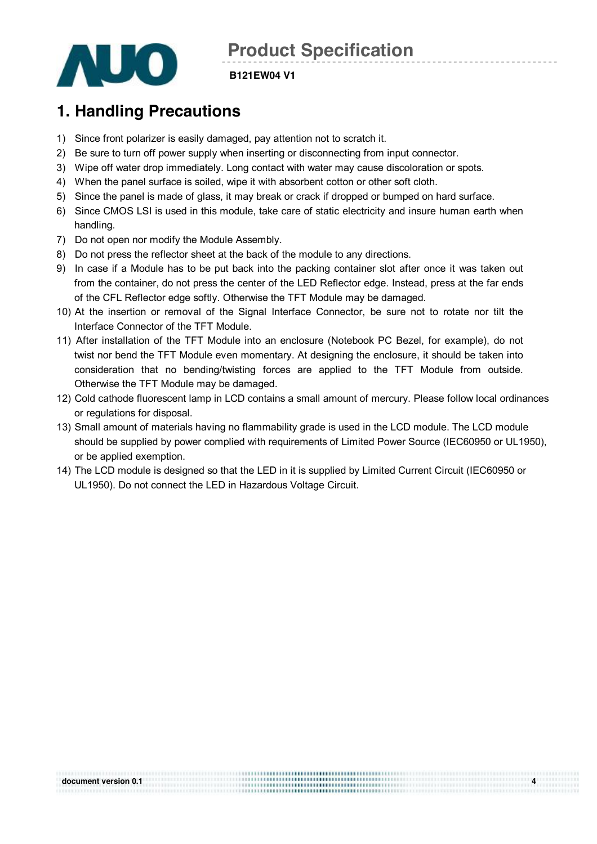

#### **B121EW04 V1**

## **1. Handling Precautions**

- 1) Since front polarizer is easily damaged, pay attention not to scratch it.
- 2) Be sure to turn off power supply when inserting or disconnecting from input connector.
- 3) Wipe off water drop immediately. Long contact with water may cause discoloration or spots.
- 4) When the panel surface is soiled, wipe it with absorbent cotton or other soft cloth.
- 5) Since the panel is made of glass, it may break or crack if dropped or bumped on hard surface.
- 6) Since CMOS LSI is used in this module, take care of static electricity and insure human earth when handling.
- 7) Do not open nor modify the Module Assembly.
- 8) Do not press the reflector sheet at the back of the module to any directions.
- 9) In case if a Module has to be put back into the packing container slot after once it was taken out from the container, do not press the center of the LED Reflector edge. Instead, press at the far ends of the CFL Reflector edge softly. Otherwise the TFT Module may be damaged.
- 10) At the insertion or removal of the Signal Interface Connector, be sure not to rotate nor tilt the Interface Connector of the TFT Module.
- 11) After installation of the TFT Module into an enclosure (Notebook PC Bezel, for example), do not twist nor bend the TFT Module even momentary. At designing the enclosure, it should be taken into consideration that no bending/twisting forces are applied to the TFT Module from outside. Otherwise the TFT Module may be damaged.
- 12) Cold cathode fluorescent lamp in LCD contains a small amount of mercury. Please follow local ordinances or regulations for disposal.
- 13) Small amount of materials having no flammability grade is used in the LCD module. The LCD module should be supplied by power complied with requirements of Limited Power Source (IEC60950 or UL1950), or be applied exemption.
- 14) The LCD module is designed so that the LED in it is supplied by Limited Current Circuit (IEC60950 or UL1950). Do not connect the LED in Hazardous Voltage Circuit.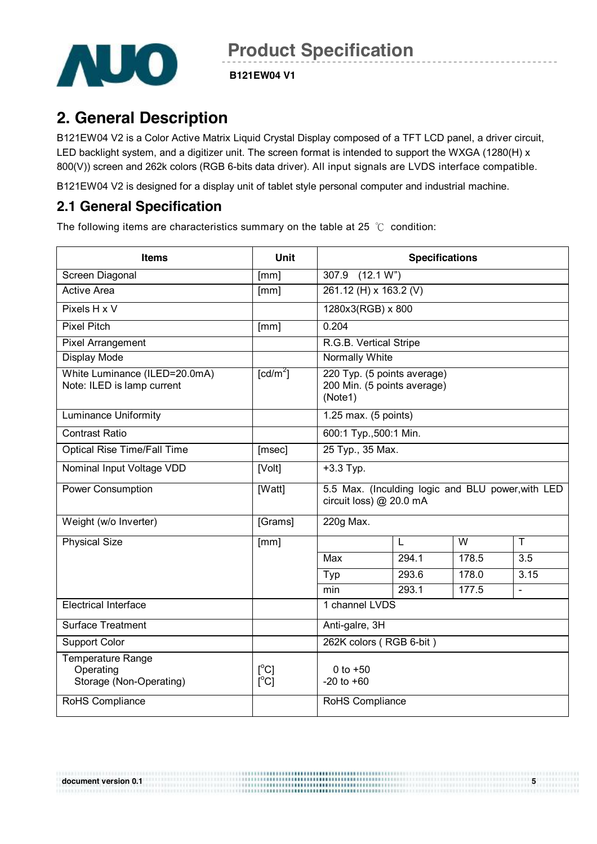

**B121EW04 V1** 

## **2. General Description**

B121EW04 V2 is a Color Active Matrix Liquid Crystal Display composed of a TFT LCD panel, a driver circuit, LED backlight system, and a digitizer unit. The screen format is intended to support the WXGA (1280(H) x 800(V)) screen and 262k colors (RGB 6-bits data driver). All input signals are LVDS interface compatible.

B121EW04 V2 is designed for a display unit of tablet style personal computer and industrial machine.

### **2.1 General Specification**

The following items are characteristics summary on the table at 25 ℃ condition:

| <b>Items</b>                                                     | <b>Unit</b>            | <b>Specifications</b>                                                        |       |       |              |  |
|------------------------------------------------------------------|------------------------|------------------------------------------------------------------------------|-------|-------|--------------|--|
| Screen Diagonal                                                  | [mm]                   | (12.1 W <sup>n</sup> )<br>307.9                                              |       |       |              |  |
| <b>Active Area</b>                                               | [mm]                   | 261.12 (H) x 163.2 (V)                                                       |       |       |              |  |
| Pixels H x V                                                     |                        | 1280x3(RGB) x 800                                                            |       |       |              |  |
| Pixel Pitch                                                      | [mm]                   | 0.204                                                                        |       |       |              |  |
| Pixel Arrangement                                                |                        | R.G.B. Vertical Stripe                                                       |       |       |              |  |
| Display Mode                                                     |                        | Normally White                                                               |       |       |              |  |
| White Luminance (ILED=20.0mA)<br>Note: ILED is lamp current      | $\lceil cd/m^2 \rceil$ | 220 Typ. (5 points average)<br>200 Min. (5 points average)<br>(Note1)        |       |       |              |  |
| <b>Luminance Uniformity</b>                                      |                        | 1.25 max. (5 points)                                                         |       |       |              |  |
| <b>Contrast Ratio</b>                                            |                        | 600:1 Typ., 500:1 Min.                                                       |       |       |              |  |
| <b>Optical Rise Time/Fall Time</b>                               | [msec]                 | 25 Typ., 35 Max.                                                             |       |       |              |  |
| Nominal Input Voltage VDD                                        | [Volt]                 | $+3.3$ Typ.                                                                  |       |       |              |  |
| <b>Power Consumption</b>                                         | [Watt]                 | 5.5 Max. (Inculding logic and BLU power, with LED<br>circuit loss) @ 20.0 mA |       |       |              |  |
| Weight (w/o Inverter)                                            | [Grams]                | 220g Max.                                                                    |       |       |              |  |
| <b>Physical Size</b>                                             | [mm]                   |                                                                              | L     | W     | T.           |  |
|                                                                  |                        | Max                                                                          | 294.1 | 178.5 | 3.5          |  |
|                                                                  |                        | Typ                                                                          | 293.6 | 178.0 | 3.15         |  |
|                                                                  |                        | min                                                                          | 293.1 | 177.5 | $\mathbf{r}$ |  |
| <b>Electrical Interface</b>                                      |                        | 1 channel LVDS                                                               |       |       |              |  |
| <b>Surface Treatment</b>                                         |                        | Anti-galre, 3H                                                               |       |       |              |  |
| <b>Support Color</b>                                             |                        | 262K colors (RGB 6-bit)                                                      |       |       |              |  |
| <b>Temperature Range</b><br>Operating<br>Storage (Non-Operating) | [°C]<br>$[^{\circ}C]$  | 0 to $+50$<br>$-20$ to $+60$                                                 |       |       |              |  |
| RoHS Compliance                                                  |                        | RoHS Compliance                                                              |       |       |              |  |

**document** version 0.1 **5 1**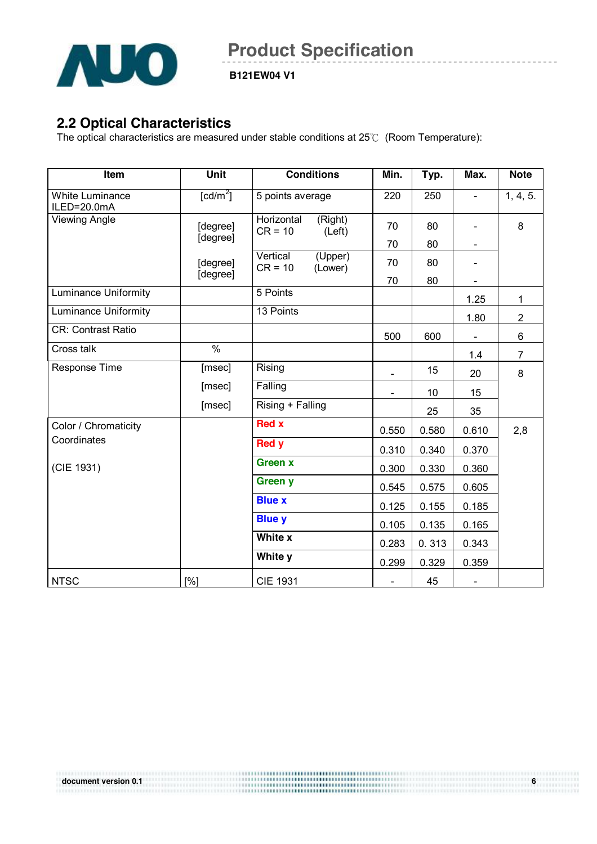

**B121EW04 V1** 

### **2.2 Optical Characteristics**

The optical characteristics are measured under stable conditions at 25℃ (Room Temperature):

| Item                                  | <b>Unit</b>          | <b>Conditions</b>                            | Min.                     | Typ.  | Max.                         | <b>Note</b>    |
|---------------------------------------|----------------------|----------------------------------------------|--------------------------|-------|------------------------------|----------------|
| <b>White Luminance</b><br>ILED=20.0mA | [cd/m <sup>2</sup> ] | 5 points average                             | 220                      | 250   |                              | 1, 4, 5.       |
| <b>Viewing Angle</b>                  | [degree]<br>[degree] | Horizontal<br>(Right)<br>$CR = 10$<br>(Left) | 70                       | 80    |                              | 8              |
|                                       |                      |                                              | 70                       | 80    |                              |                |
|                                       | [degree]<br>[degree] | Vertical<br>(Upper)<br>$CR = 10$<br>(Lower)  | 70                       | 80    |                              |                |
|                                       |                      |                                              | 70                       | 80    | $\qquad \qquad \blacksquare$ |                |
| <b>Luminance Uniformity</b>           |                      | 5 Points                                     |                          |       | 1.25                         | $\mathbf{1}$   |
| <b>Luminance Uniformity</b>           |                      | 13 Points                                    |                          |       | 1.80                         | $\overline{2}$ |
| <b>CR: Contrast Ratio</b>             |                      |                                              | 500                      | 600   | $\overline{\phantom{0}}$     | 6              |
| Cross talk                            | $\frac{0}{6}$        |                                              |                          |       | 1.4                          | $\overline{7}$ |
| Response Time                         | [msec]               | Rising                                       |                          | 15    | 20                           | 8              |
|                                       | [msec]               | Falling                                      | $\overline{\phantom{0}}$ | 10    | 15                           |                |
|                                       | [msec]               | Rising + Falling                             |                          | 25    | 35                           |                |
| Color / Chromaticity                  |                      | <b>Red x</b>                                 | 0.550                    | 0.580 | 0.610                        | 2,8            |
| Coordinates                           |                      | <b>Red y</b>                                 | 0.310                    | 0.340 | 0.370                        |                |
| (CIE 1931)                            |                      | <b>Green x</b>                               | 0.300                    | 0.330 | 0.360                        |                |
|                                       |                      | <b>Green y</b>                               | 0.545                    | 0.575 | 0.605                        |                |
|                                       |                      | <b>Blue x</b>                                | 0.125                    | 0.155 | 0.185                        |                |
|                                       |                      | <b>Blue y</b>                                | 0.105                    | 0.135 | 0.165                        |                |
|                                       |                      | White x                                      | 0.283                    | 0.313 | 0.343                        |                |
|                                       |                      | White y                                      | 0.299                    | 0.329 | 0.359                        |                |
| <b>NTSC</b>                           | [%]                  | <b>CIE 1931</b>                              |                          | 45    | $\blacksquare$               |                |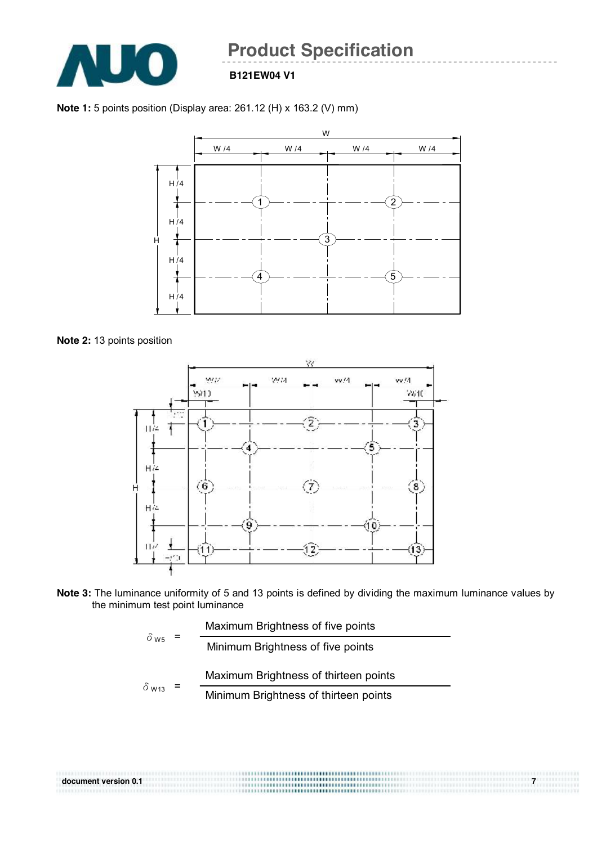

#### **B121EW04 V1**

**Note 1:** 5 points position (Display area: 261.12 (H) x 163.2 (V) mm)



**Note 2:** 13 points position



**Note 3:** The luminance uniformity of 5 and 13 points is defined by dividing the maximum luminance values by the minimum test point luminance

| $\delta$ w <sub>5</sub> | Maximum Brightness of five points     |
|-------------------------|---------------------------------------|
|                         |                                       |
| $\delta$ W13            | Maximum Brightness of thirteen points |
|                         | Minimum Brightness of thirteen points |

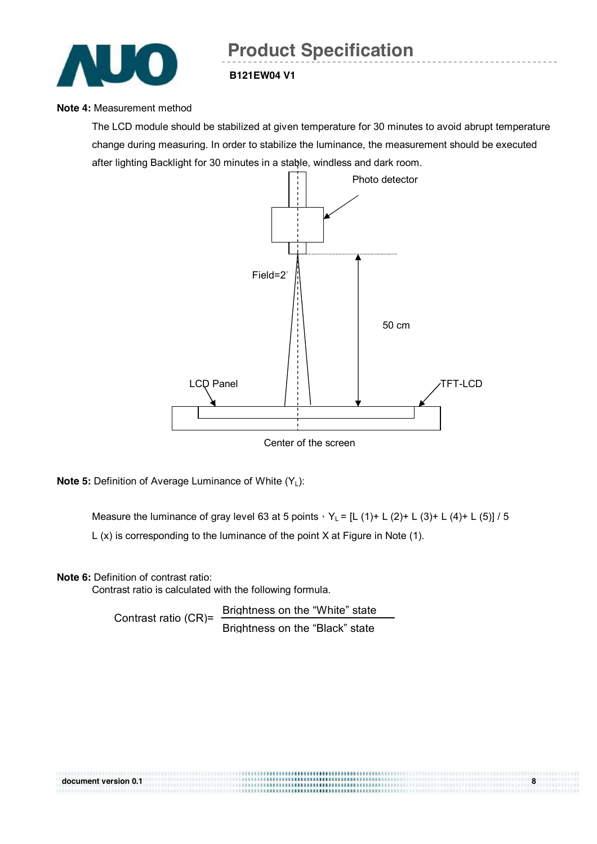

#### **Note 4:** Measurement method

The LCD module should be stabilized at given temperature for 30 minutes to avoid abrupt temperature change during measuring. In order to stabilize the luminance, the measurement should be executed after lighting Backlight for 30 minutes in a stable, windless and dark room.



Center of the screen

**Note 5:** Definition of Average Luminance of White (Y<sub>L</sub>):

Measure the luminance of gray level 63 at 5 points,  $Y_L = [L (1) + L (2) + L (3) + L (4) + L (5)] / 5$ L (x) is corresponding to the luminance of the point X at Figure in Note (1).

**Note 6:** Definition of contrast ratio:

Contrast ratio is calculated with the following formula.

Contrast ratio (CR)= Brightness on the "White" state Brightness on the "Black" state

| document version 0.1 | <br>,,,,,,,,,,,,,,,,,,,,,,,,,,,,,,,,,,,, |  |
|----------------------|------------------------------------------|--|
|                      |                                          |  |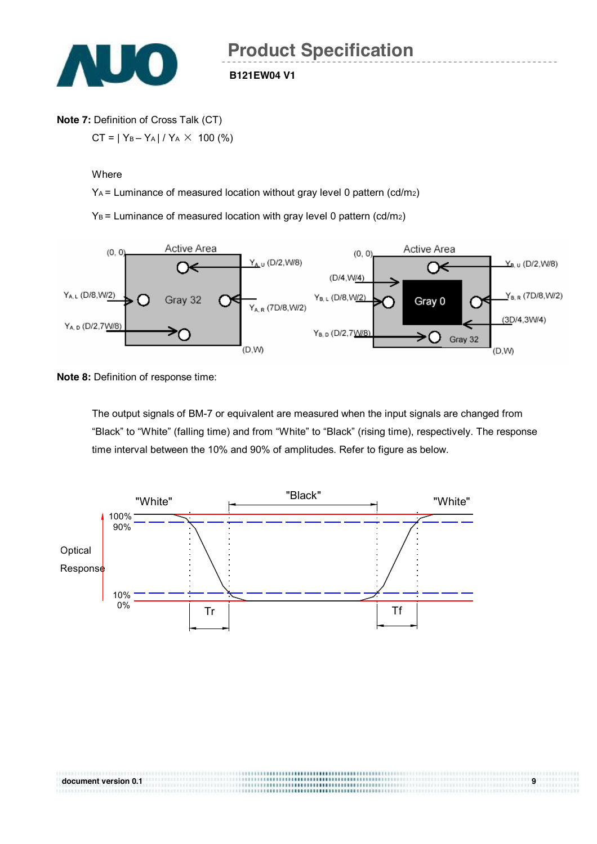

#### **Note 7:** Definition of Cross Talk (CT)

 $CT = |Y_B - Y_A| / Y_A \times 100$  (%)

#### **Where**

YA = Luminance of measured location without gray level 0 pattern (cd/m2)

 $Y_B$  = Luminance of measured location with gray level 0 pattern (cd/m<sub>2</sub>)



**Note 8: Definition of response time:** 

The output signals of BM-7 or equivalent are measured when the input signals are changed from "Black" to "White" (falling time) and from "White" to "Black" (rising time), respectively. The response time interval between the 10% and 90% of amplitudes. Refer to figure as below.

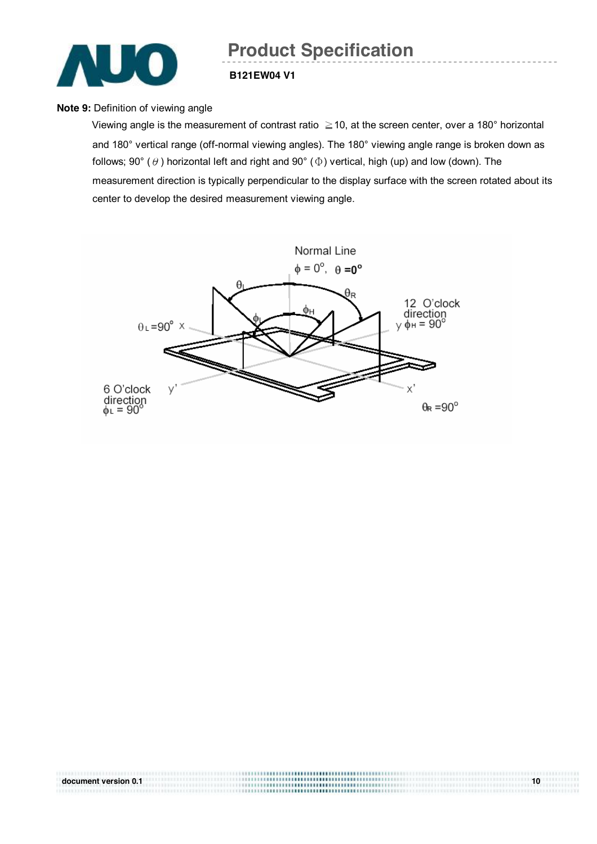

#### **B121EW04 V1**

#### **Note 9: Definition of viewing angle**

Viewing angle is the measurement of contrast ratio ≧10, at the screen center, over a 180° horizontal and 180° vertical range (off-normal viewing angles). The 180° viewing angle range is broken down as follows; 90° ( $\theta$ ) horizontal left and right and 90° ( $\Phi$ ) vertical, high (up) and low (down). The measurement direction is typically perpendicular to the display surface with the screen rotated about its center to develop the desired measurement viewing angle.



|                      | ,,,,,,,,,,,,,,,,,,,,,,,,,,,,,,,,,,,,,  |    |
|----------------------|----------------------------------------|----|
| document version 0.1 |                                        | 10 |
|                      | ,,,,,,,,,,,,,,,,,,,,,,,,,,,,,,,,,,,,,, |    |
|                      | <b></b>                                |    |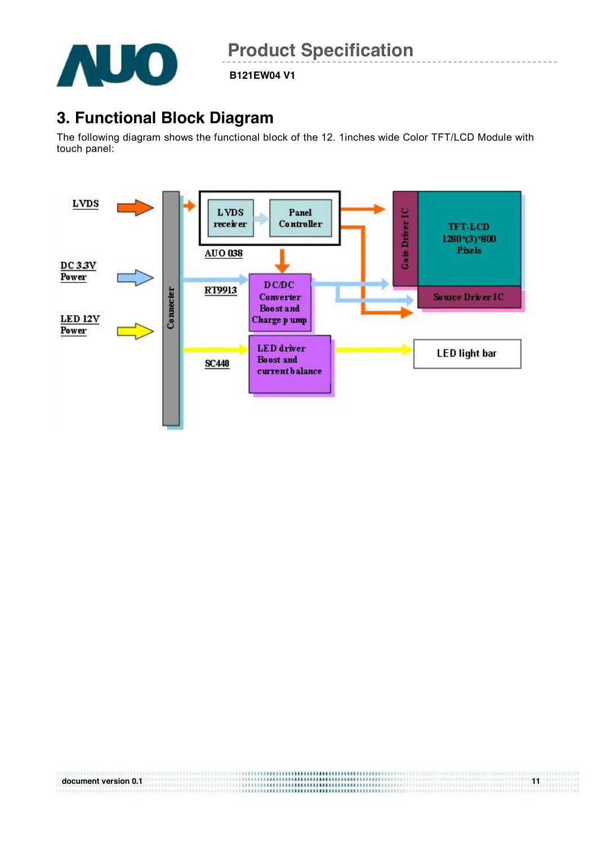

**B121EW04 V1** 

## **3. Functional Block Diagram**

The following diagram shows the functional block of the 12. 1inches wide Color TFT/LCD Module with touch panel:



|                      | ,,,,,,,,,, <b>,,,,,,,,,,,,,,,,,,,,,</b> ,,,,,, |  |
|----------------------|------------------------------------------------|--|
| document version 0.1 |                                                |  |
|                      | <b></b>                                        |  |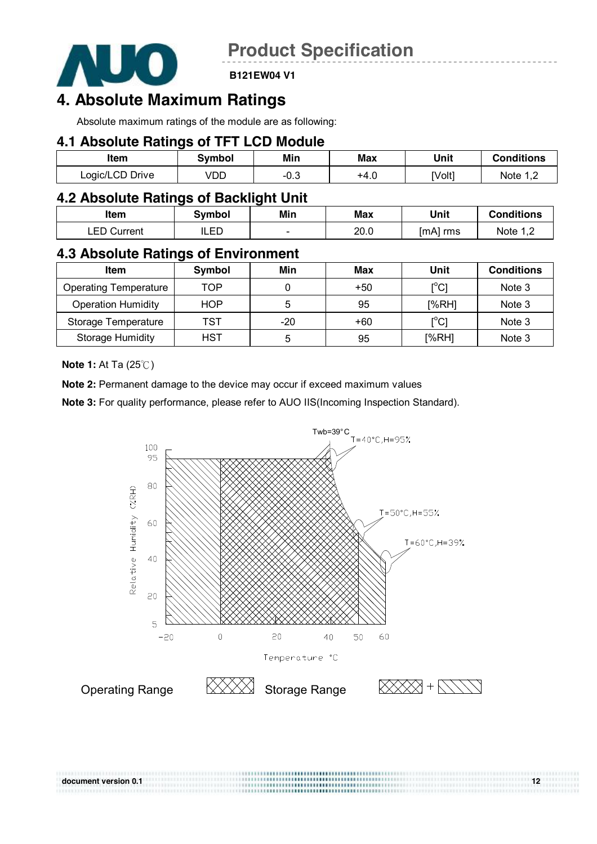

**B121EW04 V1** 

## **4. Absolute Maximum Ratings**

Absolute maximum ratings of the module are as following:

#### **4.1 Absolute Ratings of TFT LCD Module**

| Item               | Svmbol | Min    | Max  | Unit   | <b>Conditions</b> |
|--------------------|--------|--------|------|--------|-------------------|
| Logic/LCD<br>Drive | VDD    | $-0.3$ | +4.ບ | [Volt] | Note              |

### **4.2 Absolute Ratings of Backlight Unit**

| Item           | 3vmbol    | Min                      | Max  | Unit     | <b>Conditions</b> |
|----------------|-----------|--------------------------|------|----------|-------------------|
| EN.<br>Current | ED<br>⊔∟∟ | $\overline{\phantom{a}}$ | 20.0 | [mA] rms | Note              |

## **4.3 Absolute Ratings of Environment**

| <b>Item</b>                  | Symbol     | Min | Max   | Unit                         | <b>Conditions</b> |
|------------------------------|------------|-----|-------|------------------------------|-------------------|
| <b>Operating Temperature</b> | TOP        |     | $+50$ | $\mathsf{I}^\circ\mathsf{C}$ | Note 3            |
| <b>Operation Humidity</b>    | <b>HOP</b> | 5   | 95    | [%RH]                        | Note 3            |
| Storage Temperature          | TST        | -20 | +60   | $\mathsf{I}^\circ\mathsf{C}$ | Note 3            |
| <b>Storage Humidity</b>      | <b>HST</b> | 5   | 95    | [%RH]                        | Note 3            |

**Note 1:** At Ta (25℃)

**Note 2:** Permanent damage to the device may occur if exceed maximum values

**Note 3:** For quality performance, please refer to AUO IIS(Incoming Inspection Standard).



| document version 0.1 | 12 <sup>°</sup> |
|----------------------|-----------------|
|                      |                 |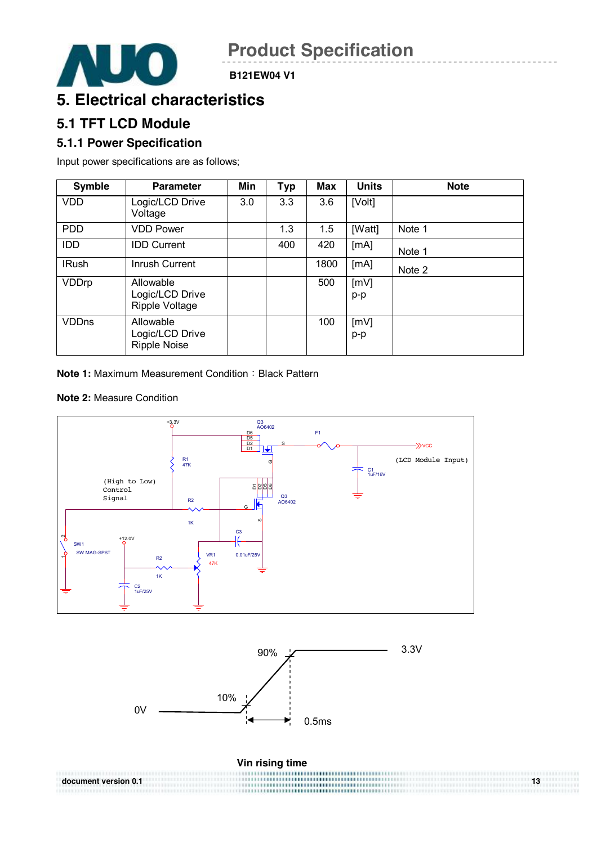

## **5. Electrical characteristics**

## **5.1 TFT LCD Module**

#### **5.1.1 Power Specification**

Input power specifications are as follows;

| <b>Symble</b> | <b>Parameter</b>                                    | Min | <b>Typ</b> | <b>Max</b> | <b>Units</b> | <b>Note</b> |
|---------------|-----------------------------------------------------|-----|------------|------------|--------------|-------------|
| <b>VDD</b>    | Logic/LCD Drive<br>Voltage                          | 3.0 | 3.3        | 3.6        | [Volt]       |             |
| <b>PDD</b>    | <b>VDD Power</b>                                    |     | 1.3        | 1.5        | [Watt]       | Note 1      |
| <b>IDD</b>    | <b>IDD Current</b>                                  |     | 400        | 420        | [mA]         | Note 1      |
| <b>IRush</b>  | Inrush Current                                      |     |            | 1800       | [mA]         | Note 2      |
| VDDrp         | Allowable<br>Logic/LCD Drive<br>Ripple Voltage      |     |            | 500        | [mV]<br>p-p  |             |
| <b>VDDns</b>  | Allowable<br>Logic/LCD Drive<br><b>Ripple Noise</b> |     |            | 100        | [mV]<br>p-p  |             |

**Note 1: Maximum Measurement Condition: Black Pattern** 

#### **Note 2:** Measure Condition





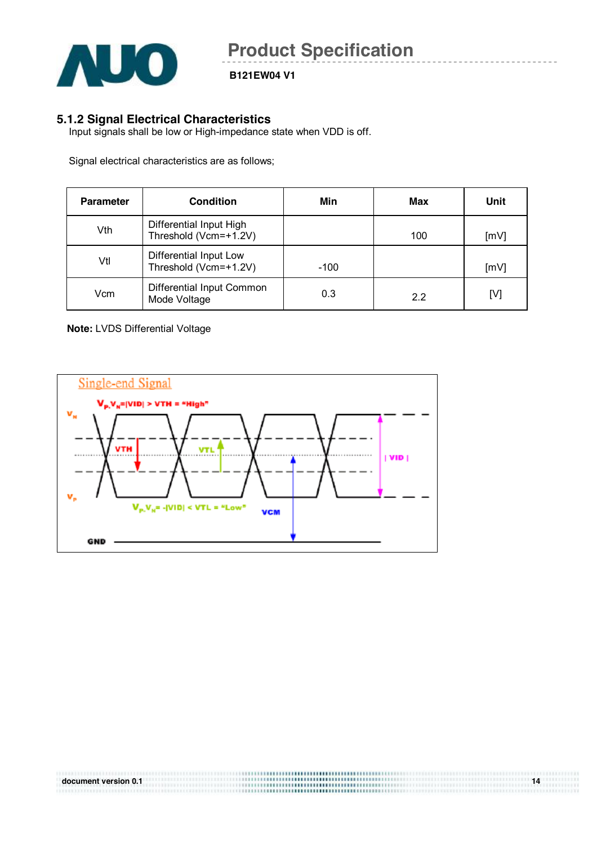

**B121EW04 V1** 

#### **5.1.2 Signal Electrical Characteristics**

Input signals shall be low or High-impedance state when VDD is off.

Signal electrical characteristics are as follows;

| <b>Parameter</b> | <b>Condition</b>                                 | Min    | Max | Unit |
|------------------|--------------------------------------------------|--------|-----|------|
| Vth              | Differential Input High<br>Threshold (Vcm=+1.2V) |        | 100 | [mV] |
| Vtl              | Differential Input Low<br>Threshold (Vcm=+1.2V)  | $-100$ |     | [mV] |
| Vcm              | Differential Input Common<br>Mode Voltage        | 0.3    | 22  | [V]  |

#### **Note:** LVDS Differential Voltage



| document version 0.1 | 14 |
|----------------------|----|
|                      |    |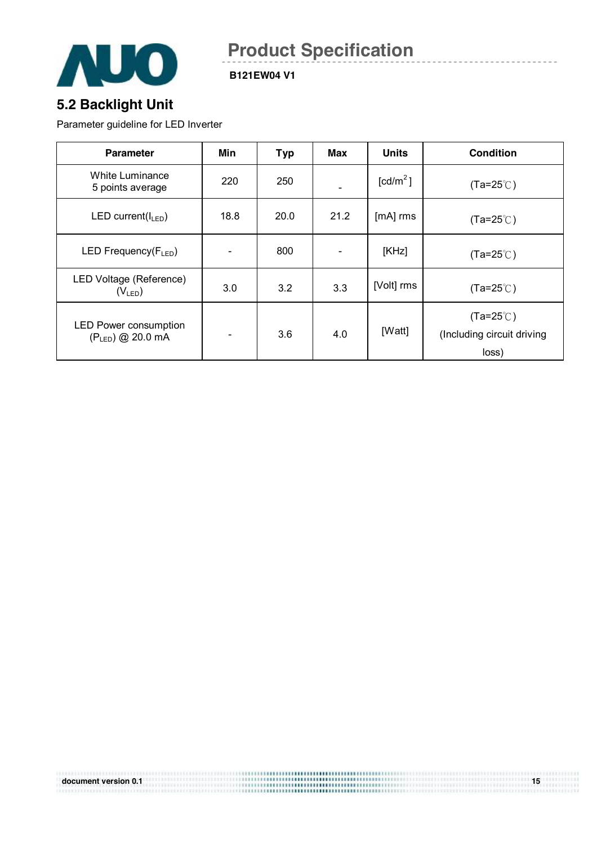

**B121EW04 V1** 

## **5.2 Backlight Unit**

Parameter guideline for LED Inverter

| <b>Parameter</b>                                      | Min  | <b>Typ</b> | Max                      | <b>Units</b>         | <b>Condition</b>                                          |
|-------------------------------------------------------|------|------------|--------------------------|----------------------|-----------------------------------------------------------|
| <b>White Luminance</b><br>5 points average            | 220  | 250        |                          | [cd/m <sup>2</sup> ] | $(Ta=25^{\circ}C)$                                        |
| LED current( $I_{LED}$ )                              | 18.8 | 20.0       | 21.2                     | [mA] rms             | $(Ta=25^{\circ}C)$                                        |
| LED Frequency(FLED)                                   |      | 800        | $\overline{\phantom{a}}$ | [KHz]                | $(Ta=25^{\circ}C)$                                        |
| LED Voltage (Reference)<br>$(V_{LED})$                | 3.0  | 3.2        | 3.3                      | [Volt] rms           | $(Ta=25^{\circ}C)$                                        |
| <b>LED Power consumption</b><br>$(P_{LED})$ @ 20.0 mA |      | 3.6        | 4.0                      | [Watt]               | $(Ta=25^{\circ}C)$<br>(Including circuit driving<br>loss) |

|                      | -------- <b>---------------------</b> ---- |    |
|----------------------|--------------------------------------------|----|
| document version 0.1 | <b></b>                                    | 15 |
|                      | *************************************      |    |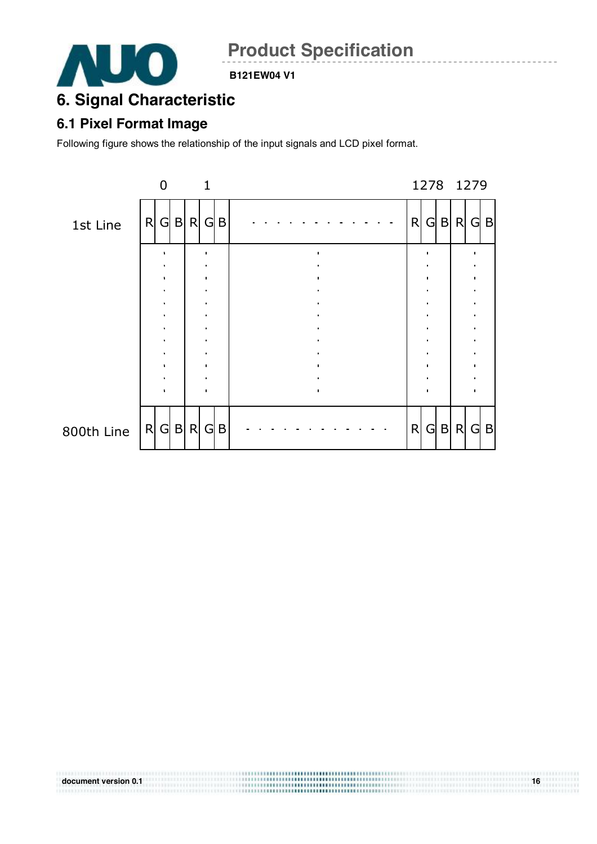

#### **B121EW04 V1**

## **6. Signal Characteristic**

## **6.1 Pixel Format Image**

Following figure shows the relationship of the input signals and LCD pixel format.



| document version 0.1 | <br><br>16 |
|----------------------|------------|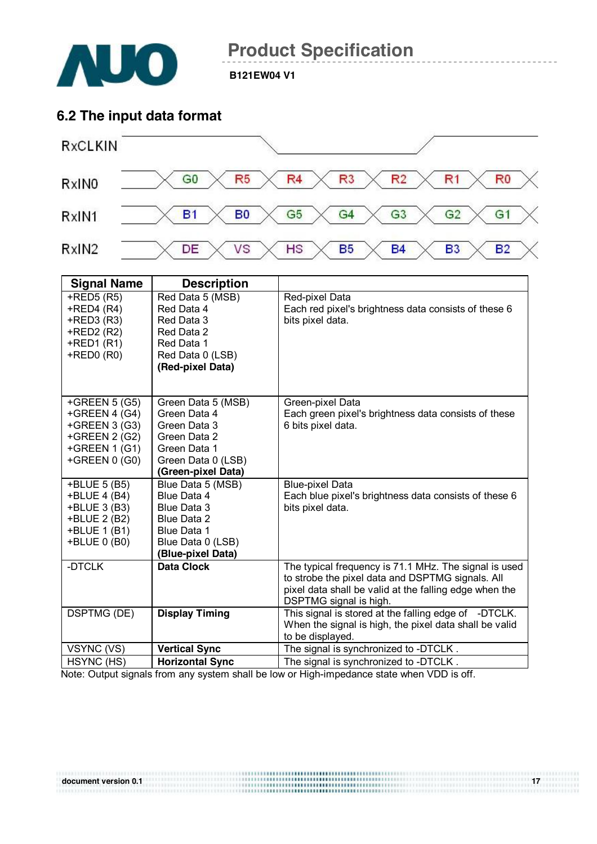

**B121EW04 V1** 

### **6.2 The input data format**



| <b>Signal Name</b> | <b>Description</b>     |                                                        |
|--------------------|------------------------|--------------------------------------------------------|
| $+$ RED5 $(R5)$    | Red Data 5 (MSB)       | Red-pixel Data                                         |
| $+$ RED4 (R4)      | Red Data 4             | Each red pixel's brightness data consists of these 6   |
| $+$ RED3 $(R3)$    | Red Data 3             | bits pixel data.                                       |
| +RED2 (R2)         | Red Data 2             |                                                        |
| $+$ RED1 $(R1)$    | Red Data 1             |                                                        |
| $+$ RED0 $(R0)$    | Red Data 0 (LSB)       |                                                        |
|                    | (Red-pixel Data)       |                                                        |
|                    |                        |                                                        |
|                    |                        |                                                        |
| +GREEN $5(G5)$     | Green Data 5 (MSB)     | Green-pixel Data                                       |
| +GREEN 4 (G4)      | Green Data 4           | Each green pixel's brightness data consists of these   |
| +GREEN 3 (G3)      | Green Data 3           | 6 bits pixel data.                                     |
| +GREEN 2 (G2)      | Green Data 2           |                                                        |
| $+GREEN 1(G1)$     | Green Data 1           |                                                        |
| +GREEN 0 (G0)      | Green Data 0 (LSB)     |                                                        |
|                    | (Green-pixel Data)     |                                                        |
| +BLUE 5 (B5)       | Blue Data 5 (MSB)      | <b>Blue-pixel Data</b>                                 |
| +BLUE 4 (B4)       | Blue Data 4            | Each blue pixel's brightness data consists of these 6  |
| +BLUE 3 (B3)       | Blue Data 3            | bits pixel data.                                       |
| +BLUE 2 (B2)       | Blue Data 2            |                                                        |
| +BLUE 1 (B1)       | Blue Data 1            |                                                        |
| +BLUE 0 (B0)       | Blue Data 0 (LSB)      |                                                        |
|                    | (Blue-pixel Data)      |                                                        |
| -DTCLK             | <b>Data Clock</b>      | The typical frequency is 71.1 MHz. The signal is used  |
|                    |                        | to strobe the pixel data and DSPTMG signals. All       |
|                    |                        | pixel data shall be valid at the falling edge when the |
|                    |                        | DSPTMG signal is high.                                 |
| <b>DSPTMG (DE)</b> | <b>Display Timing</b>  | This signal is stored at the falling edge of -DTCLK.   |
|                    |                        | When the signal is high, the pixel data shall be valid |
|                    |                        | to be displayed.                                       |
| VSYNC (VS)         | <b>Vertical Sync</b>   | The signal is synchronized to -DTCLK.                  |
| HSYNC (HS)         | <b>Horizontal Sync</b> | The signal is synchronized to -DTCLK.                  |

Note: Output signals from any system shall be low or High-impedance state when VDD is off.

|                      | <b></b> |  |
|----------------------|---------|--|
| document version 0.1 |         |  |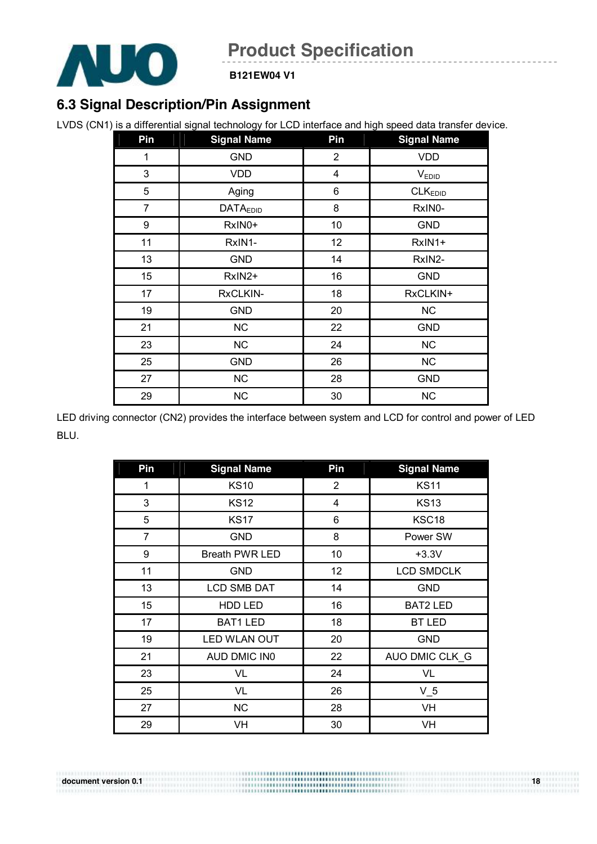

**B121EW04 V1** 

## **6.3 Signal Description/Pin Assignment**

LVDS (CN1) is a differential signal technology for LCD interface and high speed data transfer device.

| Pin | <b>Signal Name</b> | Pin            | <b>Signal Name</b>  |
|-----|--------------------|----------------|---------------------|
| 1   | <b>GND</b>         | $\overline{2}$ | <b>VDD</b>          |
| 3   | <b>VDD</b>         | $\overline{4}$ | $V_{EDID}$          |
| 5   | Aging              | 6              | CLK <sub>EDID</sub> |
| 7   | <b>DATAEDID</b>    | 8              | RxIN0-              |
| 9   | RxIN0+             | 10             | <b>GND</b>          |
| 11  | RxIN1-             | 12             | RxIN1+              |
| 13  | <b>GND</b>         | 14             | RxIN2-              |
| 15  | RxIN2+             | 16             | <b>GND</b>          |
| 17  | RxCLKIN-           | 18             | RxCLKIN+            |
| 19  | <b>GND</b>         | 20             | <b>NC</b>           |
| 21  | <b>NC</b>          | 22             | <b>GND</b>          |
| 23  | <b>NC</b>          | 24             | NC                  |
| 25  | <b>GND</b>         | 26             | NC                  |
| 27  | NC                 | 28             | <b>GND</b>          |
| 29  | <b>NC</b>          | 30             | <b>NC</b>           |

LED driving connector (CN2) provides the interface between system and LCD for control and power of LED BLU.

| Pin | <b>Signal Name</b>    | Pin            | <b>Signal Name</b> |
|-----|-----------------------|----------------|--------------------|
| 1   | <b>KS10</b>           | $\overline{2}$ | <b>KS11</b>        |
| 3   | <b>KS12</b>           | 4              | <b>KS13</b>        |
| 5   | <b>KS17</b>           | 6              | KSC18              |
| 7   | <b>GND</b>            | 8              | Power SW           |
| 9   | <b>Breath PWR LED</b> | 10             | $+3.3V$            |
| 11  | <b>GND</b>            | 12             | <b>LCD SMDCLK</b>  |
| 13  | <b>LCD SMB DAT</b>    | 14             | <b>GND</b>         |
| 15  | HDD LED               | 16             | <b>BAT2 LED</b>    |
| 17  | <b>BAT1 LED</b>       | 18             | <b>BT LED</b>      |
| 19  | LED WLAN OUT          | 20             | <b>GND</b>         |
| 21  | AUD DMIC IN0          | 22             | AUO DMIC CLK G     |
| 23  | VL                    | 24             | VL                 |
| 25  | VL                    | 26             | $V_5$              |
| 27  | <b>NC</b>             | 28             | VH                 |
| 29  | VH                    | 30             | VH                 |

**document version 0.1 18**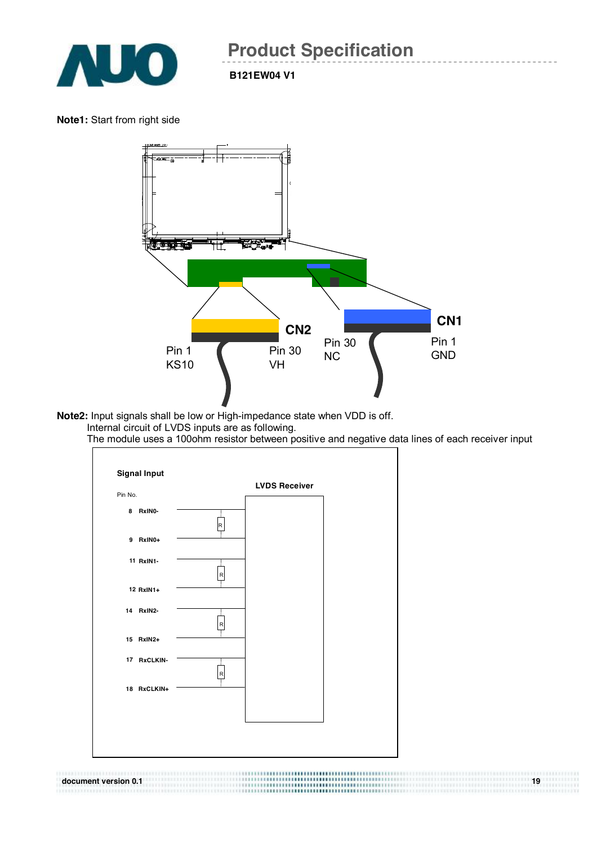

**B121EW04 V1** 

#### **Note1:** Start from right side



**Note2:** Input signals shall be low or High-impedance state when VDD is off. Internal circuit of LVDS inputs are as following.

The module uses a 100ohm resistor between positive and negative data lines of each receiver input

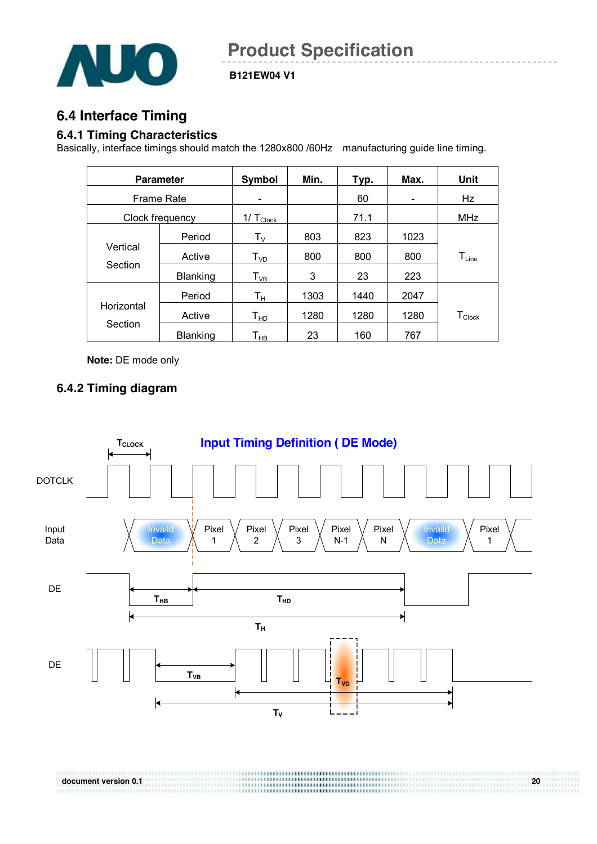

## **6.4 Interface Timing**

#### **6.4.1 Timing Characteristics**

Basically, interface timings should match the 1280x800 /60Hz manufacturing guide line timing.

|            | <b>Parameter</b>  | Symbol                          | Min. | Typ. | Max. | Unit             |
|------------|-------------------|---------------------------------|------|------|------|------------------|
|            | <b>Frame Rate</b> |                                 |      | 60   | -    | Hz               |
|            | Clock frequency   | $1/\mathsf{T}_{\mathsf{Clock}}$ |      | 71.1 |      | <b>MHz</b>       |
|            | Period            | $T_{\rm V}$                     | 803  | 823  | 1023 |                  |
| Vertical   | Active            | $T_{VD}$                        | 800  | 800  | 800  | $T_{Line}$       |
| Section    | Blanking          | $T_{VB}$                        | 3    | 23   | 223  |                  |
|            | Period            | Tн                              | 1303 | 1440 | 2047 |                  |
| Horizontal | Active            | $\mathsf{T}_{\mathsf{HD}}$      | 1280 | 1280 | 1280 | $T_{\sf{Clock}}$ |
| Section    | Blanking          | Т <sub>нв</sub>                 | 23   | 160  | 767  |                  |

**Note:** DE mode only

#### **6.4.2 Timing diagram**

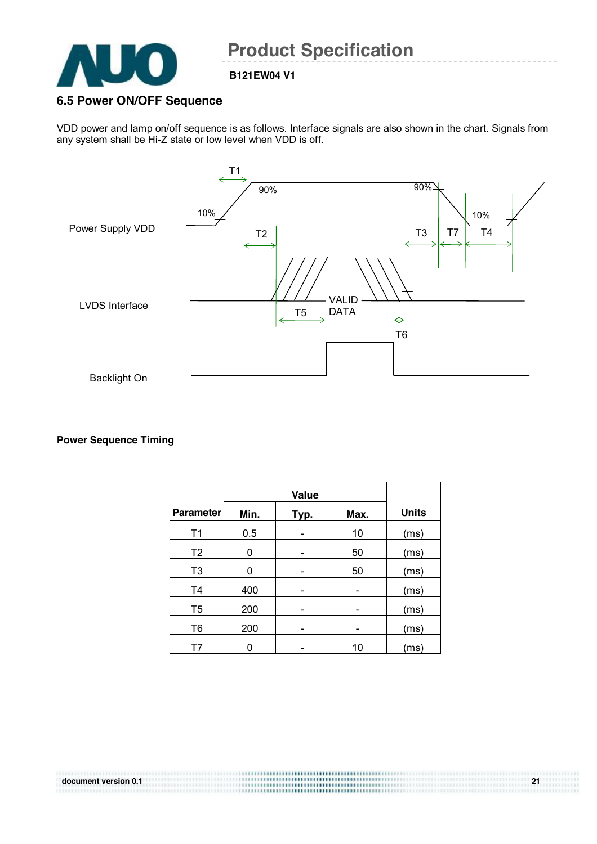

#### **6.5 Power ON/OFF Sequence**

VDD power and lamp on/off sequence is as follows. Interface signals are also shown in the chart. Signals from any system shall be Hi-Z state or low level when VDD is off.



#### **Power Sequence Timing**

|                  |      | Value |      |              |
|------------------|------|-------|------|--------------|
| <b>Parameter</b> | Min. | Typ.  | Max. | <b>Units</b> |
| T1               | 0.5  |       | 10   | (ms)         |
| T <sub>2</sub>   | 0    |       | 50   | (ms)         |
| T <sub>3</sub>   | 0    |       | 50   | (ms)         |
| T <sub>4</sub>   | 400  |       |      | (ms)         |
| T <sub>5</sub>   | 200  |       |      | (ms)         |
| T <sub>6</sub>   | 200  |       |      | (ms)         |
|                  | 0    |       | 10   | (ms)         |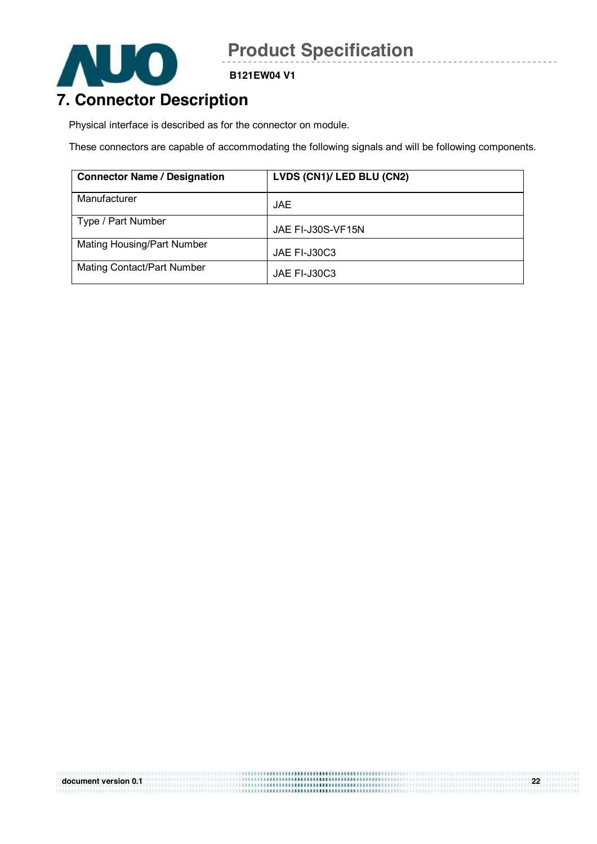

**B121EW04 V1** 

## **7. Connector Description**

Physical interface is described as for the connector on module.

These connectors are capable of accommodating the following signals and will be following components.

| <b>Connector Name / Designation</b> | LVDS (CN1)/ LED BLU (CN2) |
|-------------------------------------|---------------------------|
| Manufacturer                        | <b>JAE</b>                |
| Type / Part Number                  | JAE FI-J30S-VF15N         |
| Mating Housing/Part Number          | JAE FI-J30C3              |
| <b>Mating Contact/Part Number</b>   | JAE FI-J30C3              |

|                      | \==================================== |    |
|----------------------|---------------------------------------|----|
| document version 0.1 |                                       | nn |
|                      |                                       |    |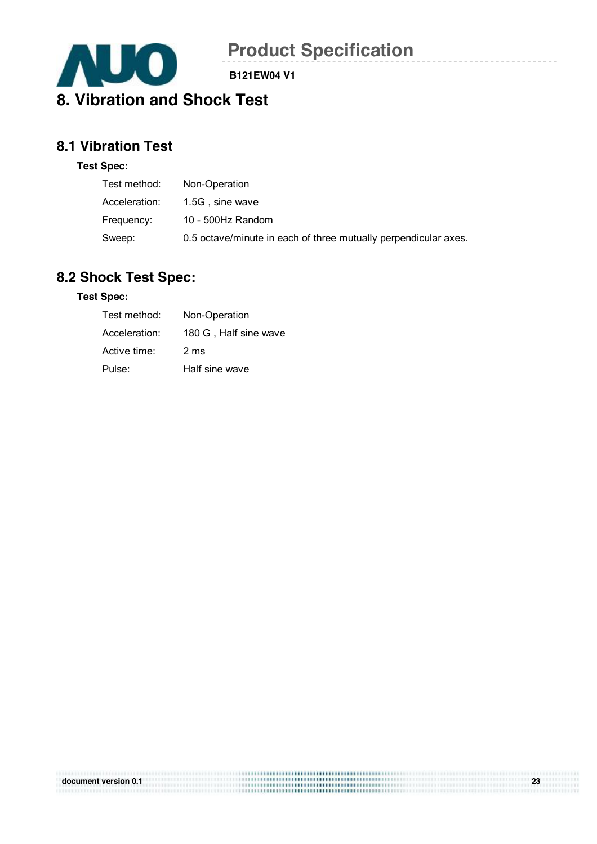

 $\overline{a}$ 

**B121EW04 V1** 

## **8.1 Vibration Test**

#### **Test Spec:**

| Test method:  | Non-Operation                                                   |
|---------------|-----------------------------------------------------------------|
| Acceleration: | 1.5G, sine wave                                                 |
| Frequency:    | 10 - 500Hz Random                                               |
| Sweep:        | 0.5 octave/minute in each of three mutually perpendicular axes. |

## **8.2 Shock Test Spec:**

#### **Test Spec:**

| Test method:  | Non-Operation         |
|---------------|-----------------------|
| Acceleration: | 180 G, Half sine wave |
| Active time:  | 2 ms                  |
| Pulse:        | Half sine wave        |

| document version 0.1 | 23 |
|----------------------|----|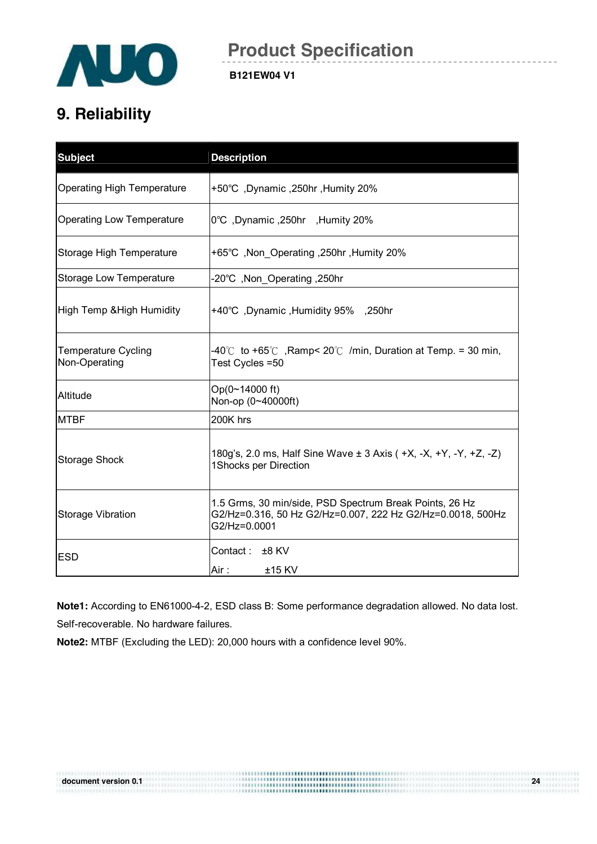

## **9. Reliability**

| <b>Subject</b>                              | <b>Description</b>                                                                                                                    |
|---------------------------------------------|---------------------------------------------------------------------------------------------------------------------------------------|
| <b>Operating High Temperature</b>           | +50°C, Dynamic, 250hr, Humity 20%                                                                                                     |
| <b>Operating Low Temperature</b>            | 0°C, Dynamic, 250hr, Humity 20%                                                                                                       |
| Storage High Temperature                    | +65°C, Non_Operating, 250hr, Humity 20%                                                                                               |
| <b>Storage Low Temperature</b>              | -20°C, Non Operating, 250hr                                                                                                           |
| High Temp & High Humidity                   | +40°C, Dynamic, Humidity 95%, 250hr                                                                                                   |
| <b>Temperature Cycling</b><br>Non-Operating | $-40^{\circ}$ to +65° C, Ramp< 20° C/min, Duration at Temp. = 30 min,<br>Test Cycles =50                                              |
| Altitude                                    | Op(0~14000 ft)<br>Non-op (0~40000ft)                                                                                                  |
| <b>MTBF</b>                                 | 200K hrs                                                                                                                              |
| <b>Storage Shock</b>                        | 180g's, 2.0 ms, Half Sine Wave ± 3 Axis ( +X, -X, +Y, -Y, +Z, -Z)<br>1Shocks per Direction                                            |
| <b>Storage Vibration</b>                    | 1.5 Grms, 30 min/side, PSD Spectrum Break Points, 26 Hz<br>G2/Hz=0.316, 50 Hz G2/Hz=0.007, 222 Hz G2/Hz=0.0018, 500Hz<br>G2/Hz=0.0001 |
| <b>ESD</b>                                  | Contact: $±8$ KV<br>Air :<br>$±15$ KV                                                                                                 |

**Note1:** According to EN61000-4-2, ESD class B: Some performance degradation allowed. No data lost. Self-recoverable. No hardware failures.

**Note2:** MTBF (Excluding the LED): 20,000 hours with a confidence level 90%.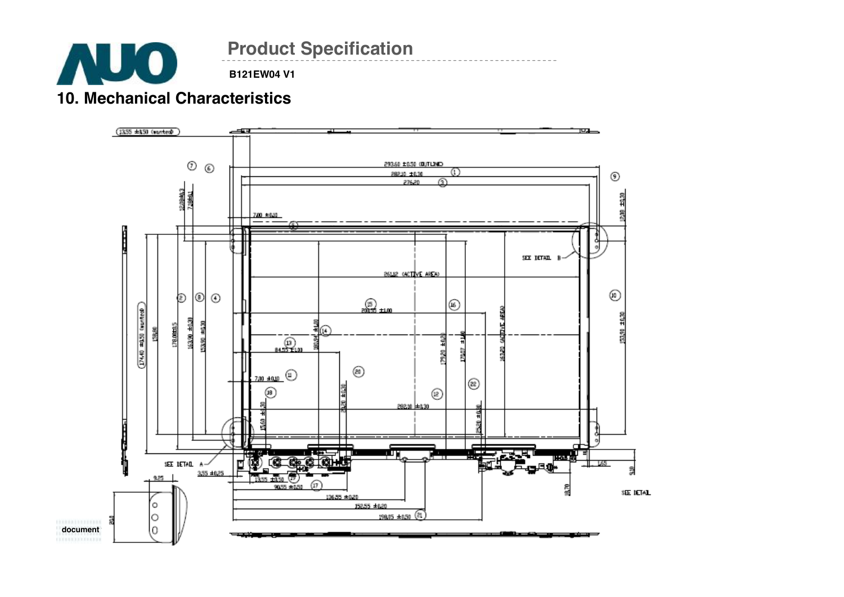

## **10. Mechanical Characteristics**

**AUO** 

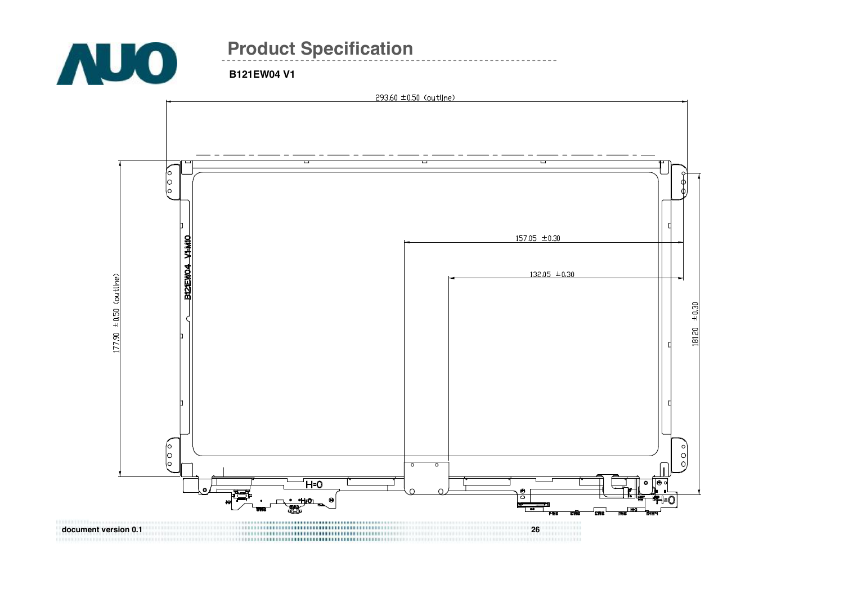

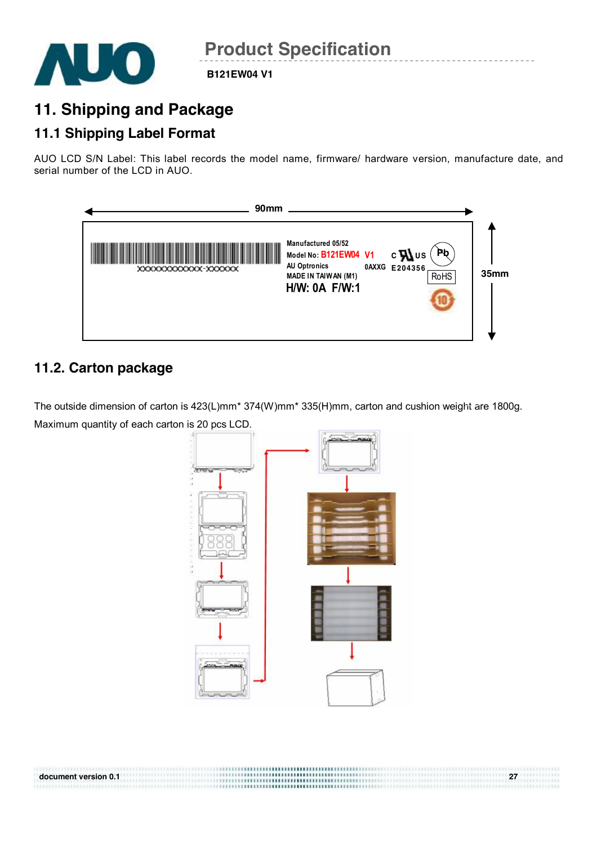

## **11. Shipping and Package**

## **11.1 Shipping Label Format**

AUO LCD S/N Label: This label records the model name, firmware/ hardware version, manufacture date, and serial number of the LCD in AUO.



## **11.2. Carton package**

The outside dimension of carton is 423(L)mm\* 374(W)mm\* 335(H)mm, carton and cushion weight are 1800g. Maximum quantity of each carton is 20 pcs LCD.



**document version 0.1 27**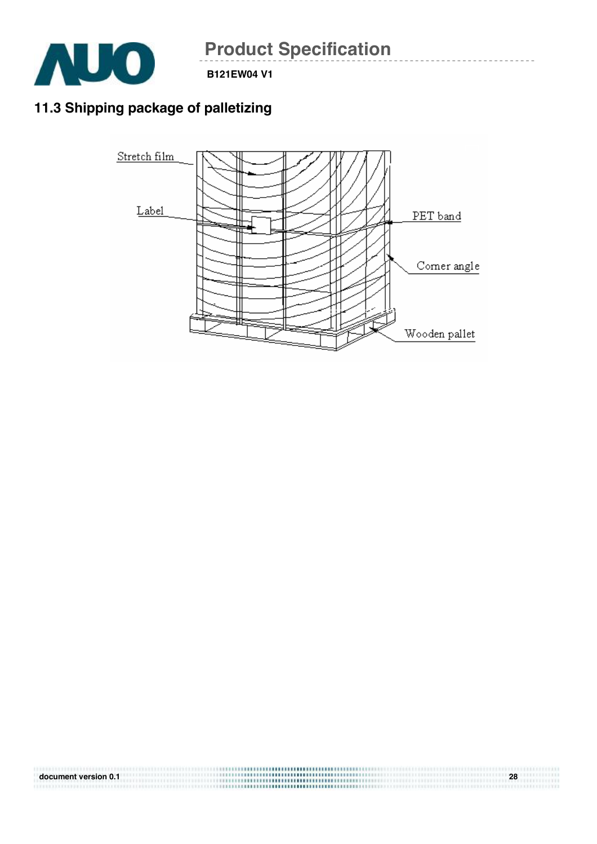

**B121EW04 V1** 

## **11.3 Shipping package of palletizing**



**document version 0.1 28**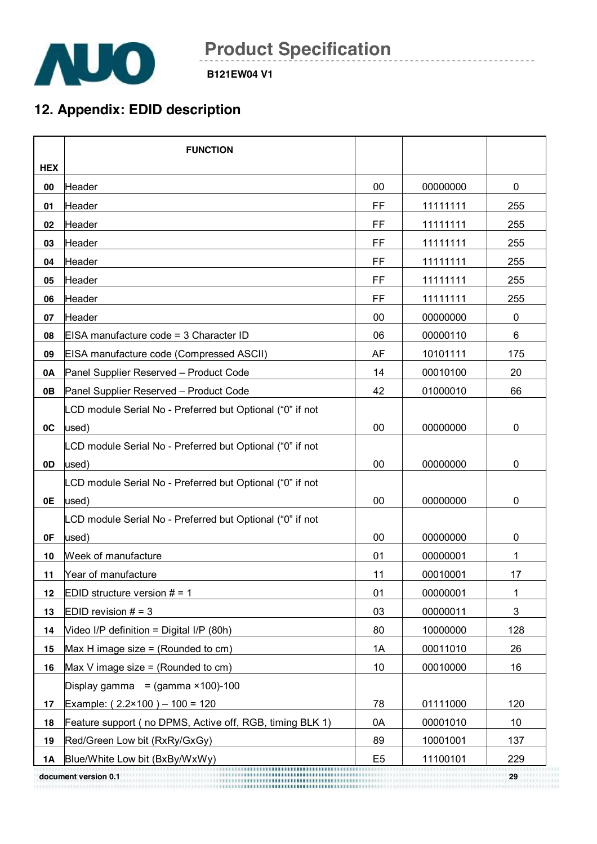

## **12. Appendix: EDID description**

|            | <b>FUNCTION</b>                                           |                |          |                           |
|------------|-----------------------------------------------------------|----------------|----------|---------------------------|
| <b>HEX</b> |                                                           |                |          |                           |
| 00         | lHeader                                                   | 00             | 00000000 | 0                         |
| 01         | Header                                                    | FF             | 11111111 | 255                       |
| 02         | Header                                                    | <b>FF</b>      | 11111111 | 255                       |
| 03         | Header                                                    | FF             | 11111111 | 255                       |
| 04         | Header                                                    | FF             | 11111111 | 255                       |
| 05         | Header                                                    | FF             | 11111111 | 255                       |
| 06         | Header                                                    | FF             | 11111111 | 255                       |
| 07         | Header                                                    | 00             | 00000000 | $\pmb{0}$                 |
| 08         | EISA manufacture code = 3 Character ID                    | 06             | 00000110 | 6                         |
| 09         | EISA manufacture code (Compressed ASCII)                  | AF             | 10101111 | 175                       |
| 0A         | Panel Supplier Reserved - Product Code                    | 14             | 00010100 | 20                        |
| 0B         | Panel Supplier Reserved - Product Code                    | 42             | 01000010 | 66                        |
|            | LCD module Serial No - Preferred but Optional ("0" if not |                |          |                           |
| 0C         | used)                                                     | 00             | 00000000 | 0                         |
|            | LCD module Serial No - Preferred but Optional ("0" if not |                |          |                           |
| 0D         | used)                                                     | 00             | 00000000 | 0                         |
|            | LCD module Serial No - Preferred but Optional ("0" if not |                |          |                           |
| 0E         | used)                                                     | 00             | 00000000 | 0                         |
|            | LCD module Serial No - Preferred but Optional ("0" if not |                |          |                           |
| 0F         | used)                                                     | 00             | 00000000 | 0                         |
| 10         | Week of manufacture                                       | 01             | 00000001 | 1                         |
| 11         | Year of manufacture                                       | 11             | 00010001 | 17                        |
| 12         | EDID structure version $# = 1$                            | 01             | 00000001 | 1                         |
| 13         | EDID revision $# = 3$                                     | 03             | 00000011 | $\ensuremath{\mathsf{3}}$ |
| 14         | Video I/P definition = Digital I/P (80h)                  | 80             | 10000000 | 128                       |
| 15         | Max H image size = (Rounded to $cm$ )                     | 1A             | 00011010 | 26                        |
| 16         | Max V image size = (Rounded to $cm$ )                     | 10             | 00010000 | 16                        |
|            | Display gamma = $(gamma \times 100) - 100$                |                |          |                           |
| 17         | Example: $(2.2 \times 100) - 100 = 120$                   | 78             | 01111000 | 120                       |
| 18         | Feature support ( no DPMS, Active off, RGB, timing BLK 1) | 0A             | 00001010 | 10                        |
| 19         | Red/Green Low bit (RxRy/GxGy)                             | 89             | 10001001 | 137                       |
| 1A         | Blue/White Low bit (BxBy/WxWy)                            | E <sub>5</sub> | 11100101 | 229                       |
|            | document version 0.1                                      |                |          |                           |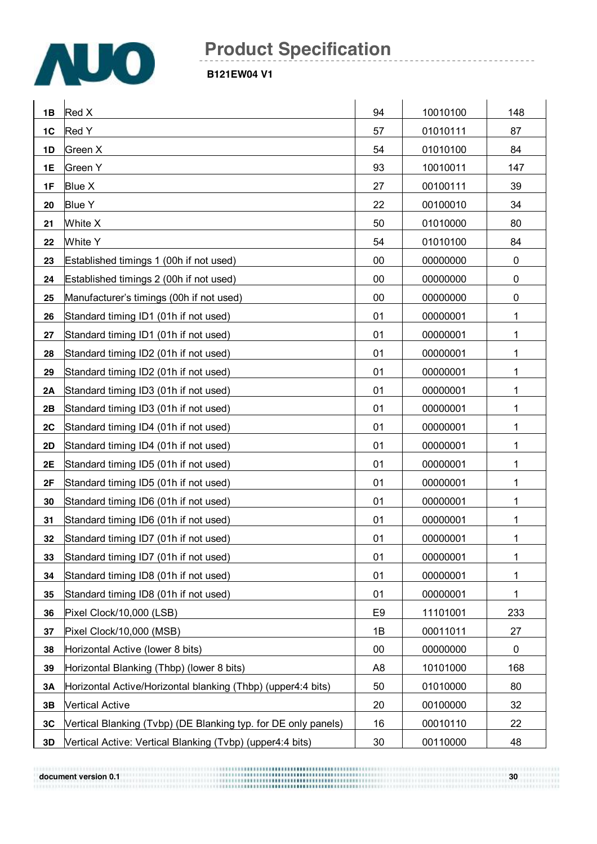

#### **B121EW04 V1**

| 1B        | Red X                                                          | 94             | 10010100 | 148         |
|-----------|----------------------------------------------------------------|----------------|----------|-------------|
| 1C        | Red Y                                                          | 57             | 01010111 | 87          |
| 1D        | Green X                                                        | 54             | 01010100 | 84          |
| 1E        | Green Y                                                        | 93             | 10010011 | 147         |
| 1F        | Blue X                                                         | 27             | 00100111 | 39          |
| 20        | <b>Blue Y</b>                                                  | 22             | 00100010 | 34          |
| 21        | White X                                                        | 50             | 01010000 | 80          |
| 22        | White Y                                                        | 54             | 01010100 | 84          |
| 23        | Established timings 1 (00h if not used)                        | 00             | 00000000 | $\pmb{0}$   |
| 24        | Established timings 2 (00h if not used)                        | 00             | 00000000 | $\pmb{0}$   |
| 25        | Manufacturer's timings (00h if not used)                       | 00             | 00000000 | 0           |
| 26        | Standard timing ID1 (01h if not used)                          | 01             | 00000001 | 1           |
| 27        | Standard timing ID1 (01h if not used)                          | 01             | 00000001 | 1           |
| 28        | Standard timing ID2 (01h if not used)                          | 01             | 00000001 | 1           |
| 29        | Standard timing ID2 (01h if not used)                          | 01             | 00000001 | 1           |
| 2A        | Standard timing ID3 (01h if not used)                          | 01             | 00000001 | 1           |
| 2B        | Standard timing ID3 (01h if not used)                          | 01             | 00000001 | 1           |
| 2C        | Standard timing ID4 (01h if not used)                          | 01             | 00000001 | 1           |
| 2D        | Standard timing ID4 (01h if not used)                          | 01             | 00000001 | 1           |
| 2E        | Standard timing ID5 (01h if not used)                          | 01             | 00000001 | 1           |
| 2F        | Standard timing ID5 (01h if not used)                          | 01             | 00000001 | 1           |
| 30        | Standard timing ID6 (01h if not used)                          | 01             | 00000001 | 1           |
| 31        | Standard timing ID6 (01h if not used)                          | 01             | 00000001 | 1           |
| 32        | Standard timing ID7 (01h if not used)                          | 01             | 00000001 | 1           |
| 33        | Standard timing ID7 (01h if not used)                          | 01             | 00000001 | 1           |
| 34        | Standard timing ID8 (01h if not used)                          | 01             | 00000001 | 1           |
| 35        | Standard timing ID8 (01h if not used)                          | 01             | 00000001 | 1           |
| 36        | Pixel Clock/10,000 (LSB)                                       | E <sub>9</sub> | 11101001 | 233         |
| 37        | Pixel Clock/10,000 (MSB)                                       | 1B             | 00011011 | 27          |
| 38        | Horizontal Active (lower 8 bits)                               | $00\,$         | 00000000 | $\mathbf 0$ |
| 39        | Horizontal Blanking (Thbp) (lower 8 bits)                      | A <sub>8</sub> | 10101000 | 168         |
| <b>3A</b> | Horizontal Active/Horizontal blanking (Thbp) (upper4:4 bits)   | 50             | 01010000 | 80          |
| 3B        | <b>Vertical Active</b>                                         | 20             | 00100000 | 32          |
| 3C        | Vertical Blanking (Tvbp) (DE Blanking typ. for DE only panels) | 16             | 00010110 | 22          |
| 3D        | Vertical Active: Vertical Blanking (Tvbp) (upper4:4 bits)      | 30             | 00110000 | 48          |

**document** version 0.1 **30 a**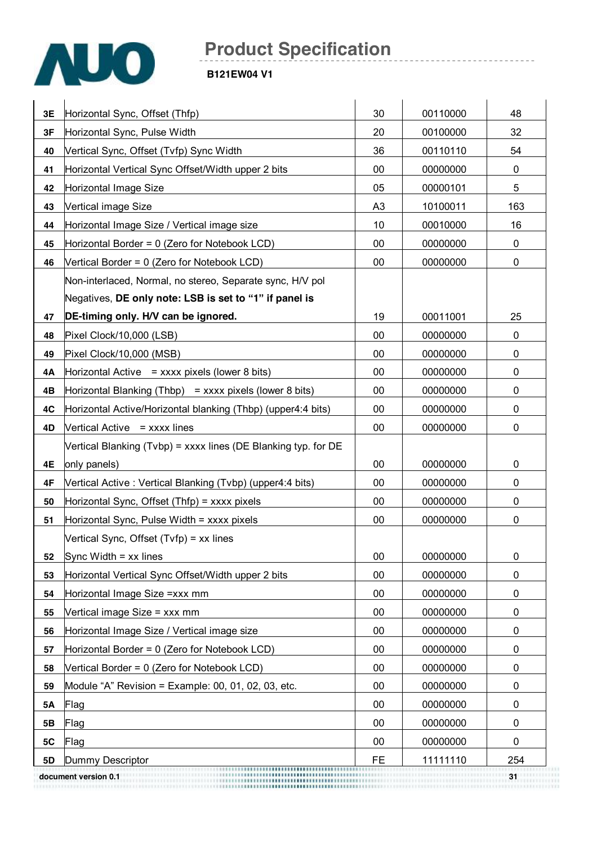

| 3E | Horizontal Sync, Offset (Thfp)                                 | 30        | 00110000 | 48  |
|----|----------------------------------------------------------------|-----------|----------|-----|
| 3F | Horizontal Sync, Pulse Width                                   | 20        | 00100000 | 32  |
| 40 | Vertical Sync, Offset (Tvfp) Sync Width                        | 36        | 00110110 | 54  |
| 41 | Horizontal Vertical Sync Offset/Width upper 2 bits             | 00        | 00000000 | 0   |
| 42 | Horizontal Image Size                                          | 05        | 00000101 | 5   |
| 43 | Vertical image Size                                            | A3        | 10100011 | 163 |
| 44 | Horizontal Image Size / Vertical image size                    | 10        | 00010000 | 16  |
| 45 | Horizontal Border = 0 (Zero for Notebook LCD)                  | 00        | 00000000 | 0   |
| 46 | Vertical Border = 0 (Zero for Notebook LCD)                    | 00        | 00000000 | 0   |
|    | Non-interlaced, Normal, no stereo, Separate sync, H/V pol      |           |          |     |
|    | Negatives, DE only note: LSB is set to "1" if panel is         |           |          |     |
| 47 | DE-timing only. H/V can be ignored.                            | 19        | 00011001 | 25  |
| 48 | Pixel Clock/10,000 (LSB)                                       | 00        | 00000000 | 0   |
| 49 | Pixel Clock/10,000 (MSB)                                       | $00\,$    | 00000000 | 0   |
| 4Α | Horizontal Active $=$ xxxx pixels (lower 8 bits)               | 00        | 00000000 | 0   |
| 4B | Horizontal Blanking (Thbp) = $xxxx$ pixels (lower 8 bits)      | 00        | 00000000 | 0   |
| 4C | Horizontal Active/Horizontal blanking (Thbp) (upper4:4 bits)   | 00        | 00000000 | 0   |
| 4D | Vertical Active = xxxx lines                                   | 00        | 00000000 | 0   |
|    | Vertical Blanking (Tvbp) = xxxx lines (DE Blanking typ. for DE |           |          |     |
| 4E | only panels)                                                   | 00        | 00000000 | 0   |
| 4F | Vertical Active: Vertical Blanking (Tvbp) (upper4:4 bits)      | 00        | 00000000 | 0   |
| 50 | Horizontal Sync, Offset (Thfp) = xxxx pixels                   | 00        | 00000000 | 0   |
| 51 | Horizontal Sync, Pulse Width = xxxx pixels                     | 00        | 00000000 | 0   |
|    | Vertical Sync, Offset (Tvfp) = xx lines                        |           |          |     |
| 52 | Sync Width $=$ xx lines                                        | 00        | 00000000 | 0   |
| 53 | Horizontal Vertical Sync Offset/Width upper 2 bits             | 00        | 00000000 | 0   |
| 54 | Horizontal Image Size = xxx mm                                 | 00        | 00000000 | 0   |
| 55 | Vertical image Size = xxx mm                                   | 00        | 00000000 | 0   |
| 56 | Horizontal Image Size / Vertical image size                    | 00        | 00000000 | 0   |
| 57 | Horizontal Border = 0 (Zero for Notebook LCD)                  | 00        | 00000000 | 0   |
| 58 | Vertical Border = 0 (Zero for Notebook LCD)                    | 00        | 00000000 | 0   |
| 59 | Module "A" Revision = Example: 00, 01, 02, 03, etc.            | 00        | 00000000 | 0   |
| 5A | Flag                                                           | 00        | 00000000 | 0   |
| 5B | Flag                                                           | 00        | 00000000 | 0   |
| 5C | Flag                                                           | 00        | 00000000 | 0   |
| 5D | Dummy Descriptor                                               | <b>FE</b> | 11111110 | 254 |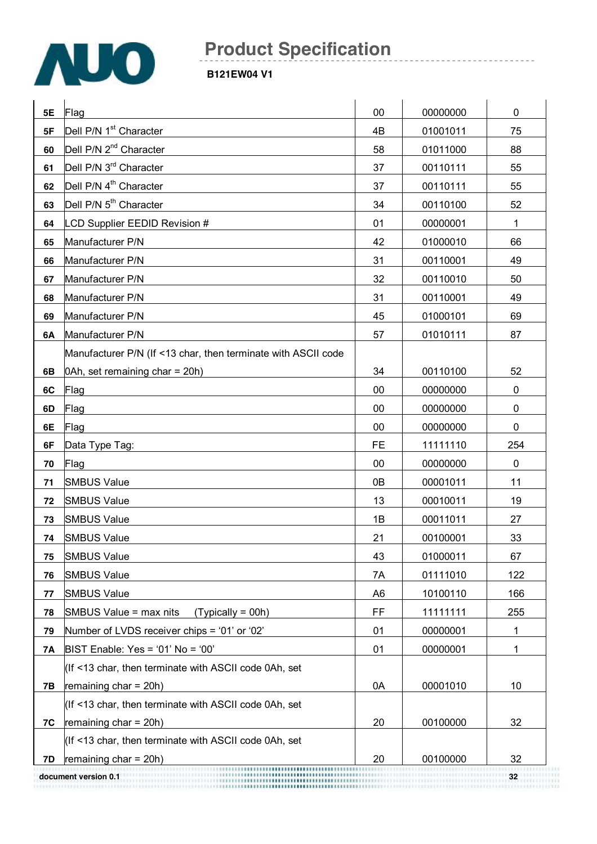

| 5E  | Flag                                                          | 00             | 00000000 | 0            |
|-----|---------------------------------------------------------------|----------------|----------|--------------|
| 5F  | Dell P/N 1 <sup>st</sup> Character                            | 4B             | 01001011 | 75           |
| 60  | Dell P/N 2 <sup>nd</sup> Character                            | 58             | 01011000 | 88           |
| 61  | Dell P/N 3 <sup>rd</sup> Character                            | 37             | 00110111 | 55           |
| 62  | Dell P/N 4 <sup>th</sup> Character                            | 37             | 00110111 | 55           |
| 63  | Dell P/N 5 <sup>th</sup> Character                            | 34             | 00110100 | 52           |
| 64  | LCD Supplier EEDID Revision #                                 | 01             | 00000001 | $\mathbf{1}$ |
| 65  | Manufacturer P/N                                              | 42             | 01000010 | 66           |
| 66  | Manufacturer P/N                                              | 31             | 00110001 | 49           |
| 67  | Manufacturer P/N                                              | 32             | 00110010 | 50           |
| 68  | Manufacturer P/N                                              | 31             | 00110001 | 49           |
| 69  | Manufacturer P/N                                              | 45             | 01000101 | 69           |
| 6A  | Manufacturer P/N                                              | 57             | 01010111 | 87           |
|     | Manufacturer P/N (If <13 char, then terminate with ASCII code |                |          |              |
| 6B  | 0Ah, set remaining char = 20h)                                | 34             | 00110100 | 52           |
| 6C  | Flag                                                          | 00             | 00000000 | 0            |
| 6D  | Flag                                                          | 00             | 00000000 | $\mathbf 0$  |
| 6E  | Flag                                                          | 00             | 00000000 | 0            |
| 6F  | Data Type Tag:                                                | <b>FE</b>      | 11111110 | 254          |
| 70  | Flag                                                          | 00             | 00000000 | $\pmb{0}$    |
| 71  | <b>SMBUS Value</b>                                            | 0B             | 00001011 | 11           |
| 72  | <b>SMBUS Value</b>                                            | 13             | 00010011 | 19           |
| 73  | <b>SMBUS Value</b>                                            | 1B             | 00011011 | 27           |
| 74  | <b>SMBUS Value</b>                                            | 21             | 00100001 | 33           |
| 75  | <b>SMBUS Value</b>                                            | 43             | 01000011 | 67           |
| 76  | <b>SMBUS Value</b>                                            | 7A             | 01111010 | 122          |
| 77  | <b>SMBUS Value</b>                                            | A <sub>6</sub> | 10100110 | 166          |
| 78  | SMBUS Value = max nits<br>$(Typically = 00h)$                 | <b>FF</b>      | 11111111 | 255          |
| 79  | Number of LVDS receiver chips = '01' or '02'                  | 01             | 00000001 | 1            |
| 7A  | BIST Enable: Yes = '01' No = '00'                             | 01             | 00000001 | 1            |
|     | (If <13 char, then terminate with ASCII code 0Ah, set         |                |          |              |
| 7B  | remaining $char = 20h$ )                                      | 0A             | 00001010 | 10           |
|     | (If <13 char, then terminate with ASCII code 0Ah, set         |                |          |              |
| 7C  | remaining $char = 20h$ )                                      | 20             | 00100000 | 32           |
|     | (If <13 char, then terminate with ASCII code 0Ah, set         |                |          |              |
| 7D. | remaining $char = 20h$ )                                      | 20             | 00100000 | 32           |